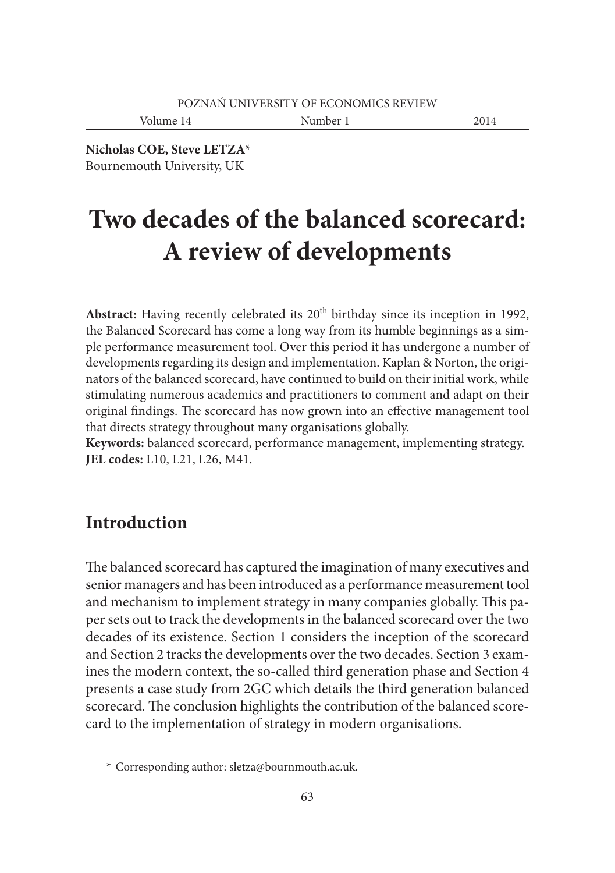Volume 14 Number 1 2014

**Nicholas COE, Steve LETZA\*** Bournemouth University, UK

# **Two decades of the balanced scorecard: A review of developments**

Abstract: Having recently celebrated its 20<sup>th</sup> birthday since its inception in 1992, the Balanced Scorecard has come a long way from its humble beginnings as a simple performance measurement tool. Over this period it has undergone a number of developments regarding its design and implementation. Kaplan & Norton, the originators of the balanced scorecard, have continued to build on their initial work, while stimulating numerous academics and practitioners to comment and adapt on their original findings. The scorecard has now grown into an effective management tool that directs strategy throughout many organisations globally.

**Keywords:** balanced scorecard, performance management, implementing strategy. **JEL codes:** L10, L21, L26, M41.

# **Introduction**

The balanced scorecard has captured the imagination of many executives and senior managers and has been introduced as a performance measurement tool and mechanism to implement strategy in many companies globally. This paper sets out to track the developments in the balanced scorecard over the two decades of its existence. Section 1 considers the inception of the scorecard and Section 2 tracks the developments over the two decades. Section 3 examines the modern context, the so-called third generation phase and Section 4 presents a case study from 2GC which details the third generation balanced scorecard. The conclusion highlights the contribution of the balanced scorecard to the implementation of strategy in modern organisations.

 <sup>\*</sup> Corresponding author: sletza@bournmouth.ac.uk.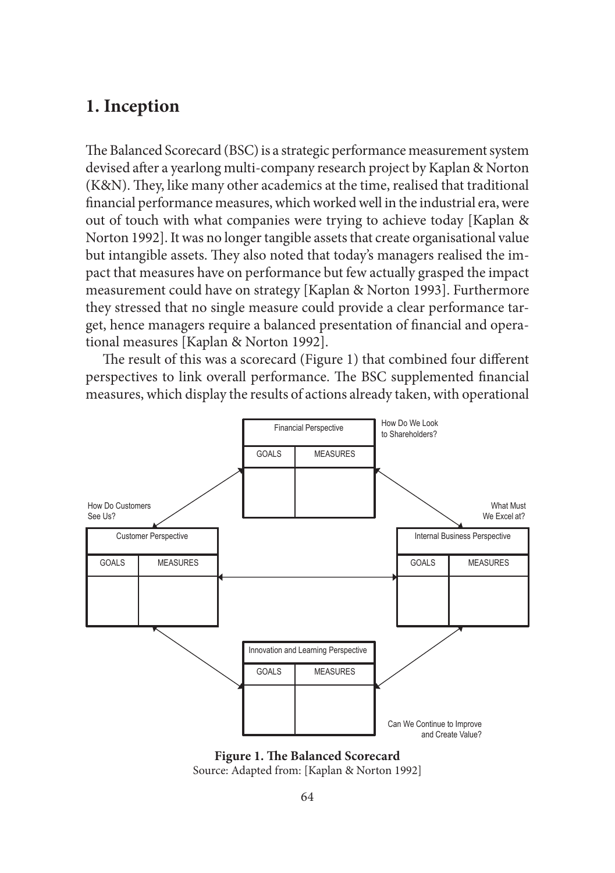# **1. Inception**

The Balanced Scorecard (BSC) is a strategic performance measurement system devised after a yearlong multi-company research project by Kaplan & Norton (K&N). They, like many other academics at the time, realised that traditional financial performance measures, which worked well in the industrial era, were out of touch with what companies were trying to achieve today [Kaplan & Norton 1992]. It was no longer tangible assets that create organisational value but intangible assets. They also noted that today's managers realised the impact that measures have on performance but few actually grasped the impact measurement could have on strategy [Kaplan & Norton 1993]. Furthermore they stressed that no single measure could provide a clear performance target, hence managers require a balanced presentation of financial and operational measures [Kaplan & Norton 1992].

The result of this was a scorecard (Figure 1) that combined four different perspectives to link overall performance. The BSC supplemented financial measures, which display the results of actions already taken, with operational



**Figure 1. The Balanced Scorecard** Source: Adapted from: [Kaplan & Norton 1992]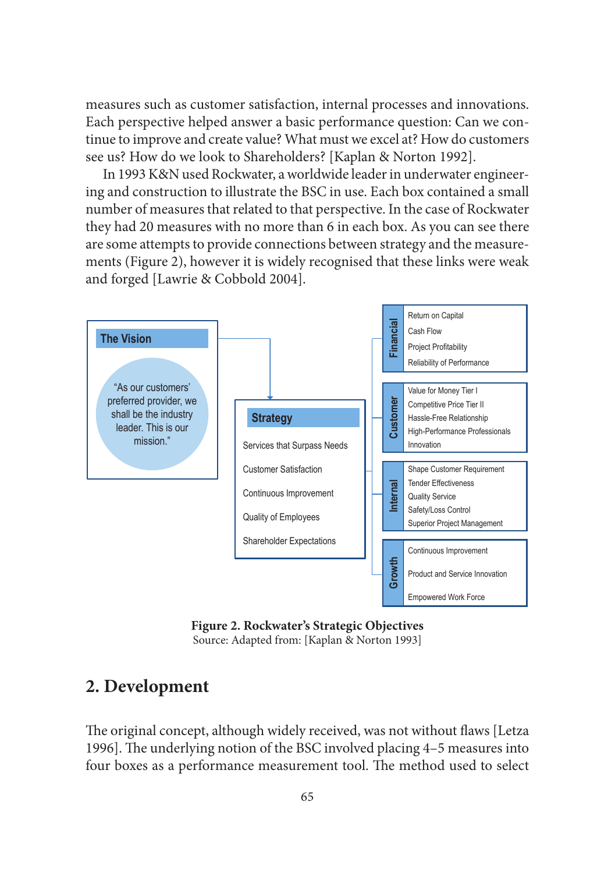measures such as customer satisfaction, internal processes and innovations. Each perspective helped answer a basic performance question: Can we continue to improve and create value? What must we excel at? How do customers see us? How do we look to Shareholders? [Kaplan & Norton 1992].

In 1993 K&N used Rockwater, a worldwide leader in underwater engineering and construction to illustrate the BSC in use. Each box contained a small number of measures that related to that perspective. In the case of Rockwater they had 20 measures with no more than 6 in each box. As you can see there are some attempts to provide connections between strategy and the measurements (Figure 2), however it is widely recognised that these links were weak and forged [Lawrie & Cobbold 2004].



**Figure 2. Rockwater's Strategic Objectives** Source: Adapted from: [Kaplan & Norton 1993]

# **2. Development**

The original concept, although widely received, was not without flaws [Letza 1996]. The underlying notion of the BSC involved placing 4-5 measures into four boxes as a performance measurement tool. The method used to select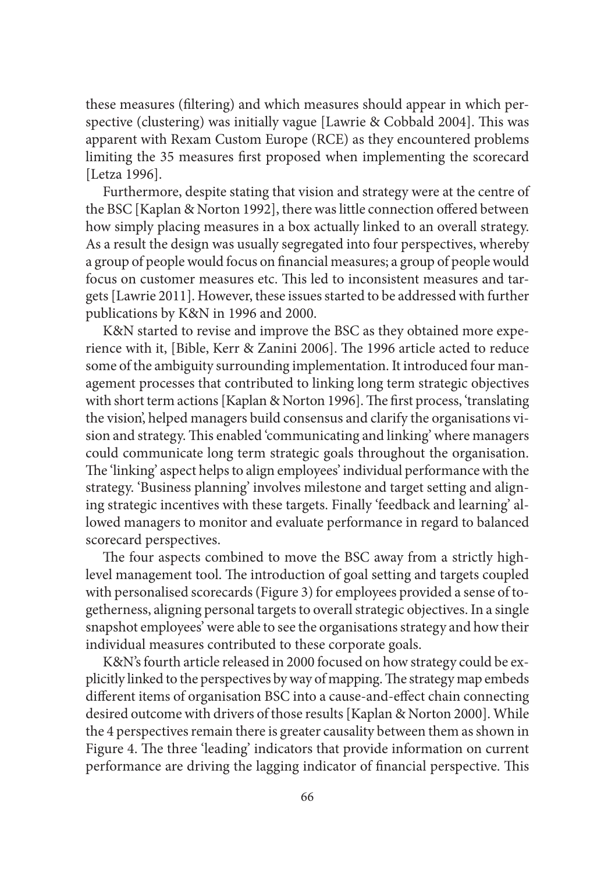these measures (filtering) and which measures should appear in which perspective (clustering) was initially vague [Lawrie & Cobbald 2004]. This was apparent with Rexam Custom Europe (RCE) as they encountered problems limiting the 35 measures first proposed when implementing the scorecard [Letza 1996].

Furthermore, despite stating that vision and strategy were at the centre of the BSC [Kaplan & Norton 1992], there was little connection offered between how simply placing measures in a box actually linked to an overall strategy. As a result the design was usually segregated into four perspectives, whereby a group of people would focus on financial measures; a group of people would focus on customer measures etc. This led to inconsistent measures and targets [Lawrie 2011]. However, these issues started to be addressed with further publications by K&N in 1996 and 2000.

K&N started to revise and improve the BSC as they obtained more experience with it, [Bible, Kerr & Zanini 2006]. The 1996 article acted to reduce some of the ambiguity surrounding implementation. It introduced four management processes that contributed to linking long term strategic objectives with short term actions [Kaplan & Norton 1996]. The first process, 'translating the vision', helped managers build consensus and clarify the organisations vision and strategy. This enabled 'communicating and linking' where managers could communicate long term strategic goals throughout the organisation. The 'linking' aspect helps to align employees' individual performance with the strategy. 'Business planning' involves milestone and target setting and aligning strategic incentives with these targets. Finally 'feedback and learning' allowed managers to monitor and evaluate performance in regard to balanced scorecard perspectives.

The four aspects combined to move the BSC away from a strictly highlevel management tool. The introduction of goal setting and targets coupled with personalised scorecards (Figure 3) for employees provided a sense of togetherness, aligning personal targets to overall strategic objectives. In a single snapshot employees' were able to see the organisations strategy and how their individual measures contributed to these corporate goals.

K&N's fourth article released in 2000 focused on how strategy could be explicitly linked to the perspectives by way of mapping. The strategy map embeds different items of organisation BSC into a cause-and-effect chain connecting desired outcome with drivers of those results [Kaplan & Norton 2000]. While the 4 perspectives remain there is greater causality between them as shown in Figure 4. The three 'leading' indicators that provide information on current performance are driving the lagging indicator of financial perspective. This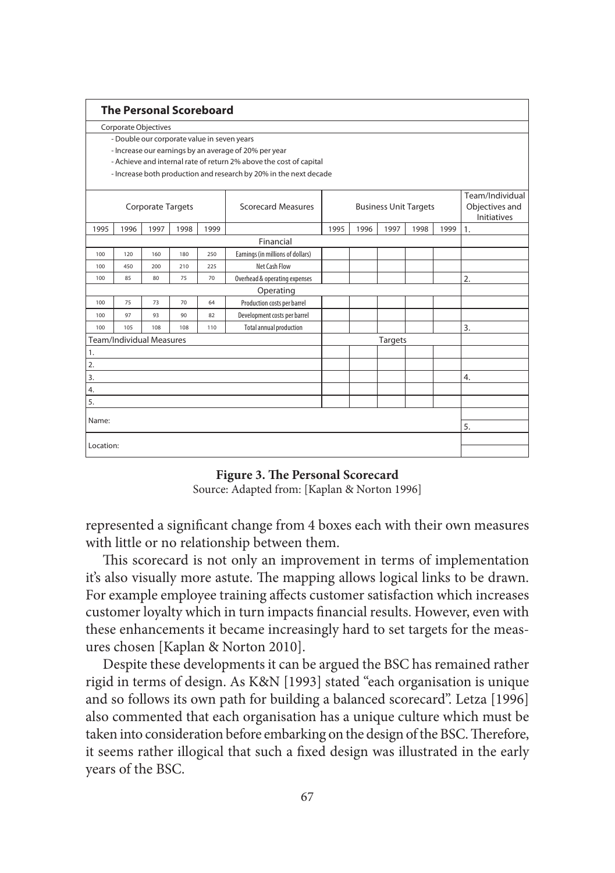| <b>The Personal Scoreboard</b>                                     |                      |                                 |      |      |                                   |                              |      |      |      |                                      |                  |  |
|--------------------------------------------------------------------|----------------------|---------------------------------|------|------|-----------------------------------|------------------------------|------|------|------|--------------------------------------|------------------|--|
| Corporate Objectives                                               |                      |                                 |      |      |                                   |                              |      |      |      |                                      |                  |  |
| - Double our corporate value in seven years                        |                      |                                 |      |      |                                   |                              |      |      |      |                                      |                  |  |
| - Increase our earnings by an average of 20% per year              |                      |                                 |      |      |                                   |                              |      |      |      |                                      |                  |  |
| - Achieve and internal rate of return 2% above the cost of capital |                      |                                 |      |      |                                   |                              |      |      |      |                                      |                  |  |
| - Increase both production and research by 20% in the next decade  |                      |                                 |      |      |                                   |                              |      |      |      |                                      |                  |  |
|                                                                    |                      |                                 |      |      |                                   |                              |      |      |      |                                      | Team/Individual  |  |
| <b>Corporate Targets</b>                                           |                      |                                 |      |      | Scorecard Measures                | <b>Business Unit Targets</b> |      |      |      | Objectives and<br><b>Initiatives</b> |                  |  |
| 1995                                                               | 1996                 | 1997                            | 1998 | 1999 |                                   | 1995                         | 1996 | 1997 | 1998 | 1999                                 | 1.               |  |
|                                                                    |                      |                                 |      |      | Financial                         |                              |      |      |      |                                      |                  |  |
| 100                                                                | 120                  | 160                             | 180  | 250  | Earnings (in millions of dollars) |                              |      |      |      |                                      |                  |  |
| 100                                                                | 450                  | 200                             | 210  | 225  | Net Cash Flow                     |                              |      |      |      |                                      |                  |  |
| 100                                                                | 85<br>80<br>75<br>70 |                                 |      |      | Overhead & operating expenses     |                              |      |      |      |                                      | $\overline{2}$ . |  |
|                                                                    |                      |                                 |      |      | Operating                         |                              |      |      |      |                                      |                  |  |
| 100                                                                | 75                   | 73                              | 70   | 64   | Production costs per barrel       |                              |      |      |      |                                      |                  |  |
| 100                                                                | 97                   | 93                              | 90   | 82   | Development costs per barrel      |                              |      |      |      |                                      |                  |  |
| 100                                                                | 105                  | 108                             | 108  | 110  | <b>Total annual production</b>    |                              |      |      |      | 3.                                   |                  |  |
|                                                                    |                      | <b>Team/Individual Measures</b> |      |      |                                   | <b>Targets</b>               |      |      |      |                                      |                  |  |
| 1.                                                                 |                      |                                 |      |      |                                   |                              |      |      |      |                                      |                  |  |
| 2.                                                                 |                      |                                 |      |      |                                   |                              |      |      |      |                                      |                  |  |
| 3.                                                                 |                      |                                 |      |      |                                   |                              |      |      |      |                                      | 4.               |  |
| 4.                                                                 |                      |                                 |      |      |                                   |                              |      |      |      |                                      |                  |  |
| 5.                                                                 |                      |                                 |      |      |                                   |                              |      |      |      |                                      |                  |  |
| Name:                                                              |                      |                                 |      |      |                                   |                              |      |      |      |                                      |                  |  |
|                                                                    |                      |                                 |      |      |                                   |                              |      |      |      |                                      | 5.               |  |
| Location:                                                          |                      |                                 |      |      |                                   |                              |      |      |      |                                      |                  |  |
|                                                                    |                      |                                 |      |      |                                   |                              |      |      |      |                                      |                  |  |

**Figure 3. The Personal Scorecard** 

Source: Adapted from: [Kaplan & Norton 1996]

represented a significant change from 4 boxes each with their own measures with little or no relationship between them.

This scorecard is not only an improvement in terms of implementation it's also visually more astute. The mapping allows logical links to be drawn. For example employee training affects customer satisfaction which increases customer loyalty which in turn impacts financial results. However, even with these enhancements it became increasingly hard to set targets for the measures chosen [Kaplan & Norton 2010].

Despite these developments it can be argued the BSC has remained rather rigid in terms of design. As K&N [1993] stated "each organisation is unique and so follows its own path for building a balanced scorecard". Letza [1996] also commented that each organisation has a unique culture which must be taken into consideration before embarking on the design of the BSC. Therefore, it seems rather illogical that such a fixed design was illustrated in the early years of the BSC.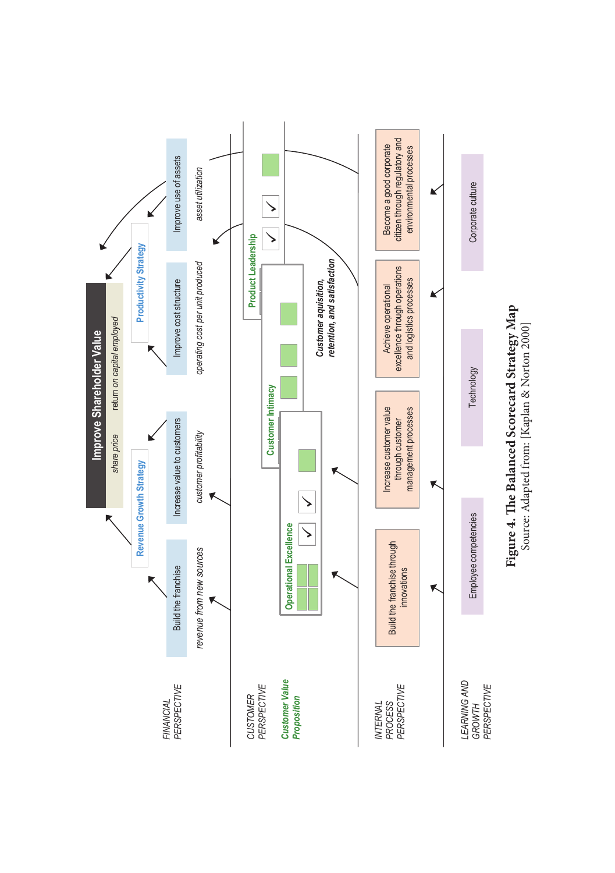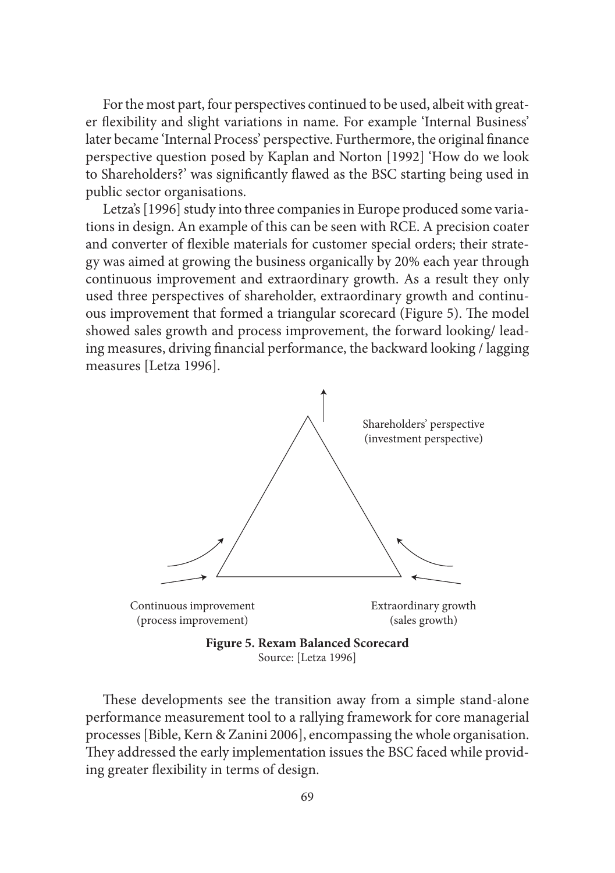For the most part, four perspectives continued to be used, albeit with greater flexibility and slight variations in name. For example 'Internal Business' later became 'Internal Process' perspective. Furthermore, the original finance perspective question posed by Kaplan and Norton [1992] 'How do we look to Shareholders?' was significantly flawed as the BSC starting being used in public sector organisations.

Letza's [1996] study into three companies in Europe produced some variations in design. An example of this can be seen with RCE. A precision coater and converter of flexible materials for customer special orders; their strategy was aimed at growing the business organically by 20% each year through continuous improvement and extraordinary growth. As a result they only used three perspectives of shareholder, extraordinary growth and continuous improvement that formed a triangular scorecard (Figure 5). The model showed sales growth and process improvement, the forward looking/ leading measures, driving financial performance, the backward looking / lagging measures [Letza 1996].



Source: [Letza 1996]

These developments see the transition away from a simple stand-alone performance measurement tool to a rallying framework for core managerial processes [Bible, Kern & Zanini 2006], encompassing the whole organisation. They addressed the early implementation issues the BSC faced while providing greater flexibility in terms of design.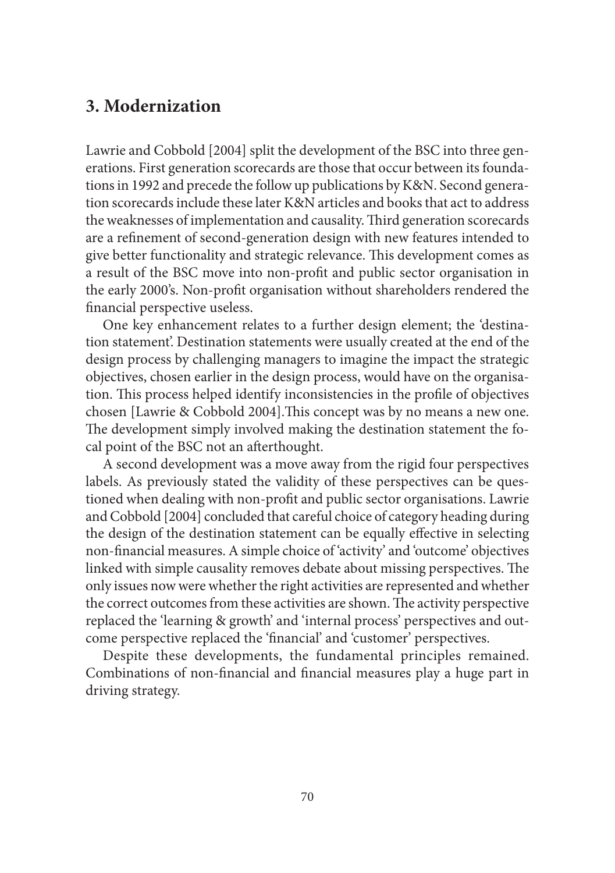# **3. Modernization**

Lawrie and Cobbold [2004] split the development of the BSC into three generations. First generation scorecards are those that occur between its foundations in 1992 and precede the follow up publications by K&N. Second generation scorecards include these later K&N articles and books that act to address the weaknesses of implementation and causality. Third generation scorecards are a refinement of second-generation design with new features intended to give better functionality and strategic relevance. This development comes as a result of the BSC move into non-profit and public sector organisation in the early 2000's. Non-profit organisation without shareholders rendered the financial perspective useless.

One key enhancement relates to a further design element; the 'destination statement'. Destination statements were usually created at the end of the design process by challenging managers to imagine the impact the strategic objectives, chosen earlier in the design process, would have on the organisation. This process helped identify inconsistencies in the profile of objectives chosen [Lawrie & Cobbold 2004]. This concept was by no means a new one. The development simply involved making the destination statement the focal point of the BSC not an afterthought.

A second development was a move away from the rigid four perspectives labels. As previously stated the validity of these perspectives can be questioned when dealing with non-profi t and public sector organisations. Lawrie and Cobbold [2004] concluded that careful choice of category heading during the design of the destination statement can be equally effective in selecting non-financial measures. A simple choice of 'activity' and 'outcome' objectives linked with simple causality removes debate about missing perspectives. The only issues now were whether the right activities are represented and whether the correct outcomes from these activities are shown. The activity perspective replaced the 'learning & growth' and 'internal process' perspectives and outcome perspective replaced the 'financial' and 'customer' perspectives.

Despite these developments, the fundamental principles remained. Combinations of non-financial and financial measures play a huge part in driving strategy.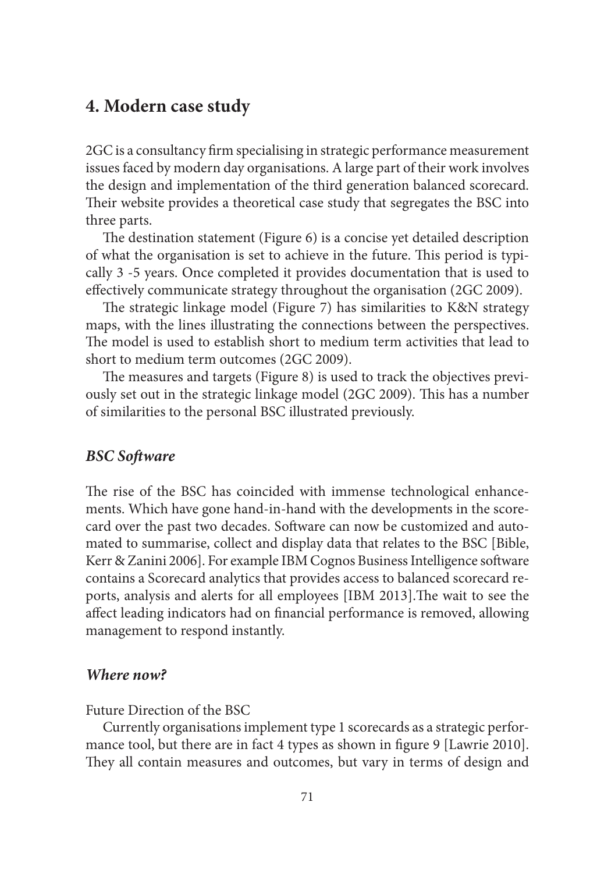### **4. Modern case study**

2GC is a consultancy firm specialising in strategic performance measurement issues faced by modern day organisations. A large part of their work involves the design and implementation of the third generation balanced scorecard. Their website provides a theoretical case study that segregates the BSC into three parts.

The destination statement (Figure 6) is a concise yet detailed description of what the organisation is set to achieve in the future. This period is typically 3 -5 years. Once completed it provides documentation that is used to effectively communicate strategy throughout the organisation (2GC 2009).

The strategic linkage model (Figure 7) has similarities to K&N strategy maps, with the lines illustrating the connections between the perspectives. The model is used to establish short to medium term activities that lead to short to medium term outcomes (2GC 2009).

The measures and targets (Figure 8) is used to track the objectives previously set out in the strategic linkage model (2GC 2009). This has a number of similarities to the personal BSC illustrated previously.

#### *BSC Soft ware*

The rise of the BSC has coincided with immense technological enhancements. Which have gone hand-in-hand with the developments in the scorecard over the past two decades. Software can now be customized and automated to summarise, collect and display data that relates to the BSC [Bible, Kerr & Zanini 2006]. For example IBM Cognos Business Intelligence software contains a Scorecard analytics that provides access to balanced scorecard reports, analysis and alerts for all employees [IBM 2013]. The wait to see the affect leading indicators had on financial performance is removed, allowing management to respond instantly.

#### *Where now?*

Future Direction of the BSC

Currently organisations implement type 1 scorecards as a strategic performance tool, but there are in fact 4 types as shown in figure 9 [Lawrie 2010]. They all contain measures and outcomes, but vary in terms of design and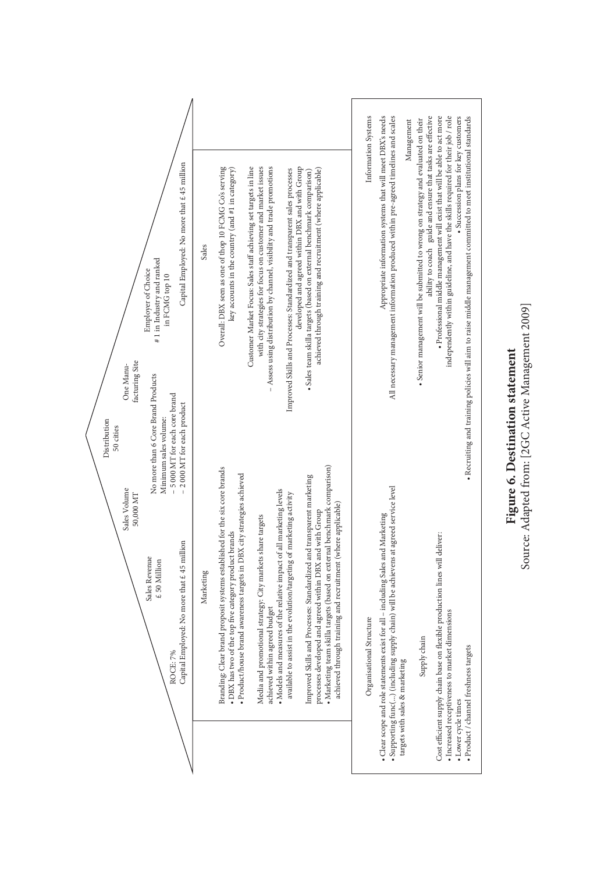

# Source: Adapted from: [2GC Active Management 2009] Source: Adapted from: [2GC Active Management 2009] Figure 6. Destination statement **Figure 6. Destination statement**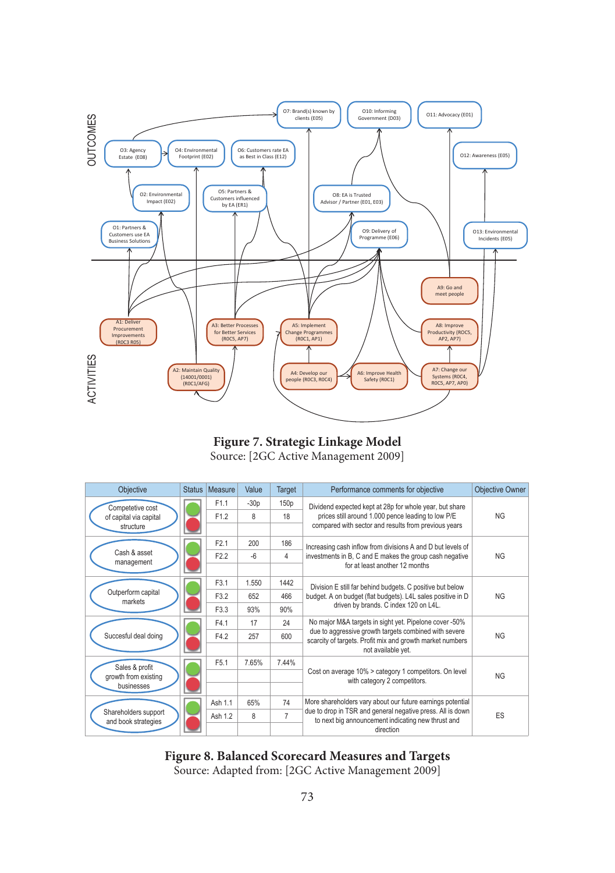

#### **Figure 7. Strategic Linkage Model** Source: [2GC Active Management 2009]

| Objective                                   | <b>Status</b> | Measure          | Value  | Target           | Performance comments for objective                                                                                 | <b>Objective Owner</b> |
|---------------------------------------------|---------------|------------------|--------|------------------|--------------------------------------------------------------------------------------------------------------------|------------------------|
| Competetive cost                            |               | F1.1             | $-30p$ | 150 <sub>p</sub> | Dividend expected kept at 28p for whole year, but share                                                            | NG                     |
| of capital via capital                      |               | F <sub>1.2</sub> | 8      | 18               | prices still around 1.000 pence leading to low P/E                                                                 |                        |
| structure                                   |               |                  |        |                  | compared with sector and results from previous years                                                               |                        |
|                                             |               | F <sub>2.1</sub> | 200    | 186              | Increasing cash inflow from divisions A and D but levels of                                                        | <b>NG</b>              |
| Cash & asset<br>management                  |               | F <sub>2.2</sub> | $-6$   | 4                | investments in B, C and E makes the group cash negative                                                            |                        |
|                                             |               |                  |        |                  | for at least another 12 months                                                                                     |                        |
|                                             |               | F3.1             | 1.550  | 1442             | Division E still far behind budgets. C positive but below                                                          | NG                     |
| Outperform capital<br>markets               |               | F3.2             | 652    | 466              | budget. A on budget (flat budgets). L4L sales positive in D                                                        |                        |
|                                             |               | F3.3             | 93%    | 90%              | driven by brands. C index 120 on L4L.                                                                              |                        |
|                                             |               | F4.1             | 17     | 24               | No major M&A targets in sight yet. Pipelone cover -50%                                                             | NG                     |
| Succesful deal doing                        |               | F4.2             | 257    | 600              | due to aggressive growth targets combined with severe<br>scarcity of targets. Profit mix and growth market numbers |                        |
|                                             |               |                  |        |                  | not available yet.                                                                                                 |                        |
| Sales & profit                              |               | F <sub>5.1</sub> | 7.65%  | 7.44%            |                                                                                                                    | <b>NG</b>              |
| growth from existing                        |               |                  |        |                  | Cost on average 10% > category 1 competitors. On level<br>with category 2 competitors.                             |                        |
| businesses                                  |               |                  |        |                  |                                                                                                                    |                        |
|                                             |               | Ash 1.1          | 65%    | 74               | More shareholders vary about our future earnings potential                                                         | ES                     |
| Shareholders support<br>and book strategies |               | Ash 1.2          | 8      | $\overline{7}$   | due to drop in TSR and general negative press. All is down<br>to next big announcement indicating new thrust and   |                        |
|                                             |               |                  |        |                  | direction                                                                                                          |                        |

#### **Figure 8. Balanced Scorecard Measures and Targets**

Source: Adapted from: [2GC Active Management 2009]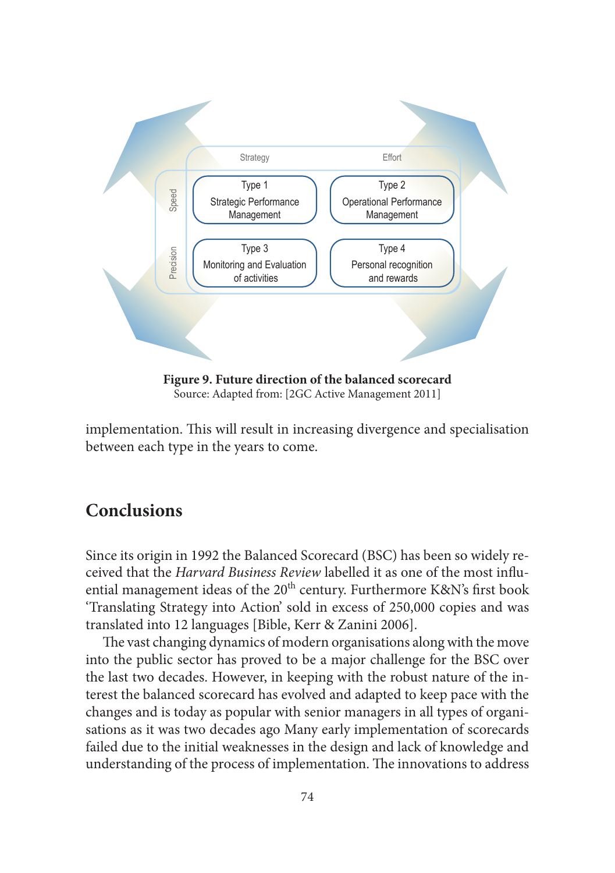

Source: Adapted from: [2GC Active Management 2011]

implementation. This will result in increasing divergence and specialisation between each type in the years to come.

# **Conclusions**

Since its origin in 1992 the Balanced Scorecard (BSC) has been so widely received that the *Harvard Business Review* labelled it as one of the most influential management ideas of the  $20^{th}$  century. Furthermore K&N's first book 'Translating Strategy into Action' sold in excess of 250,000 copies and was translated into 12 languages [Bible, Kerr & Zanini 2006].

The vast changing dynamics of modern organisations along with the move into the public sector has proved to be a major challenge for the BSC over the last two decades. However, in keeping with the robust nature of the interest the balanced scorecard has evolved and adapted to keep pace with the changes and is today as popular with senior managers in all types of organisations as it was two decades ago Many early implementation of scorecards failed due to the initial weaknesses in the design and lack of knowledge and understanding of the process of implementation. The innovations to address